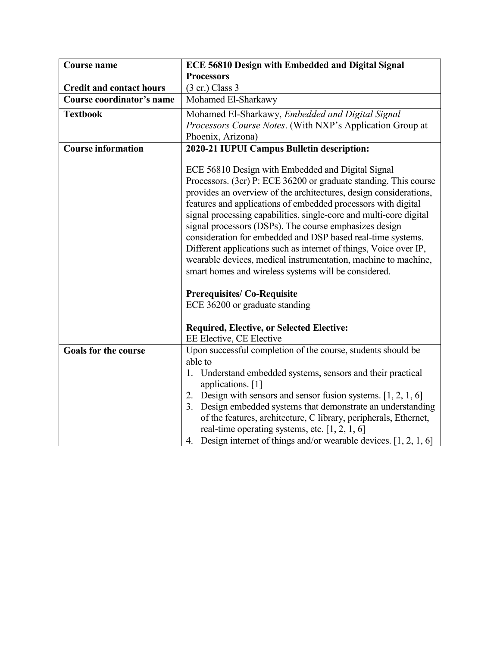| <b>Course name</b>              | <b>ECE 56810 Design with Embedded and Digital Signal</b>                                                                                                                                                                                                                                                                                                                                                                                                                                                                                                                                                                                                  |
|---------------------------------|-----------------------------------------------------------------------------------------------------------------------------------------------------------------------------------------------------------------------------------------------------------------------------------------------------------------------------------------------------------------------------------------------------------------------------------------------------------------------------------------------------------------------------------------------------------------------------------------------------------------------------------------------------------|
|                                 | <b>Processors</b>                                                                                                                                                                                                                                                                                                                                                                                                                                                                                                                                                                                                                                         |
| <b>Credit and contact hours</b> | $(3 \text{ cr.})$ Class 3                                                                                                                                                                                                                                                                                                                                                                                                                                                                                                                                                                                                                                 |
| Course coordinator's name       | Mohamed El-Sharkawy                                                                                                                                                                                                                                                                                                                                                                                                                                                                                                                                                                                                                                       |
| <b>Textbook</b>                 | Mohamed El-Sharkawy, Embedded and Digital Signal                                                                                                                                                                                                                                                                                                                                                                                                                                                                                                                                                                                                          |
|                                 | <i>Processors Course Notes.</i> (With NXP's Application Group at                                                                                                                                                                                                                                                                                                                                                                                                                                                                                                                                                                                          |
|                                 | Phoenix, Arizona)                                                                                                                                                                                                                                                                                                                                                                                                                                                                                                                                                                                                                                         |
| <b>Course information</b>       | 2020-21 IUPUI Campus Bulletin description:                                                                                                                                                                                                                                                                                                                                                                                                                                                                                                                                                                                                                |
|                                 | ECE 56810 Design with Embedded and Digital Signal<br>Processors. (3cr) P: ECE 36200 or graduate standing. This course<br>provides an overview of the architectures, design considerations,<br>features and applications of embedded processors with digital<br>signal processing capabilities, single-core and multi-core digital<br>signal processors (DSPs). The course emphasizes design<br>consideration for embedded and DSP based real-time systems.<br>Different applications such as internet of things, Voice over IP,<br>wearable devices, medical instrumentation, machine to machine,<br>smart homes and wireless systems will be considered. |
|                                 | <b>Prerequisites/Co-Requisite</b><br>ECE 36200 or graduate standing                                                                                                                                                                                                                                                                                                                                                                                                                                                                                                                                                                                       |
|                                 | <b>Required, Elective, or Selected Elective:</b><br>EE Elective, CE Elective                                                                                                                                                                                                                                                                                                                                                                                                                                                                                                                                                                              |
| <b>Goals for the course</b>     | Upon successful completion of the course, students should be<br>able to                                                                                                                                                                                                                                                                                                                                                                                                                                                                                                                                                                                   |
|                                 | 1. Understand embedded systems, sensors and their practical<br>applications. [1]<br>2. Design with sensors and sensor fusion systems. $[1, 2, 1, 6]$<br>Design embedded systems that demonstrate an understanding<br>3.<br>of the features, architecture, C library, peripherals, Ethernet,<br>real-time operating systems, etc. $[1, 2, 1, 6]$<br>4. Design internet of things and/or wearable devices. $[1, 2, 1, 6]$                                                                                                                                                                                                                                   |